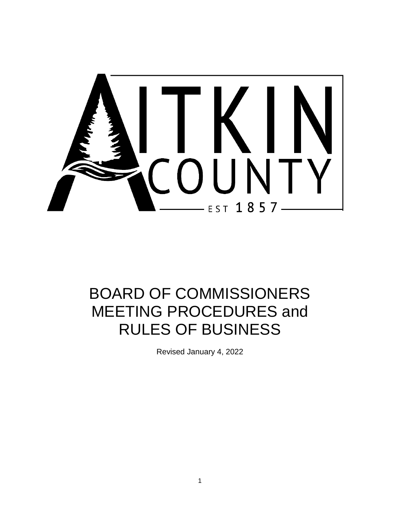

# BOARD OF COMMISSIONERS MEETING PROCEDURES and RULES OF BUSINESS

Revised January 4, 2022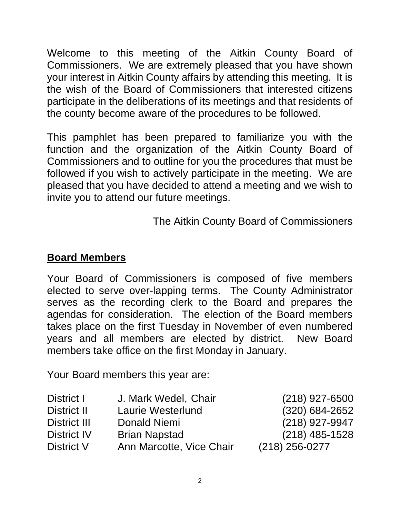Welcome to this meeting of the Aitkin County Board of Commissioners. We are extremely pleased that you have shown your interest in Aitkin County affairs by attending this meeting. It is the wish of the Board of Commissioners that interested citizens participate in the deliberations of its meetings and that residents of the county become aware of the procedures to be followed.

This pamphlet has been prepared to familiarize you with the function and the organization of the Aitkin County Board of Commissioners and to outline for you the procedures that must be followed if you wish to actively participate in the meeting. We are pleased that you have decided to attend a meeting and we wish to invite you to attend our future meetings.

The Aitkin County Board of Commissioners

### **Board Members**

Your Board of Commissioners is composed of five members elected to serve over-lapping terms. The County Administrator serves as the recording clerk to the Board and prepares the agendas for consideration. The election of the Board members takes place on the first Tuesday in November of even numbered years and all members are elected by district. New Board members take office on the first Monday in January.

Your Board members this year are:

| District I         | J. Mark Wedel, Chair     | $(218)$ 927-6500 |
|--------------------|--------------------------|------------------|
| <b>District II</b> | <b>Laurie Westerlund</b> | $(320)$ 684-2652 |
| District III       | Donald Niemi             | (218) 927-9947   |
| <b>District IV</b> | <b>Brian Napstad</b>     | $(218)$ 485-1528 |
| District V         | Ann Marcotte, Vice Chair | $(218)$ 256-0277 |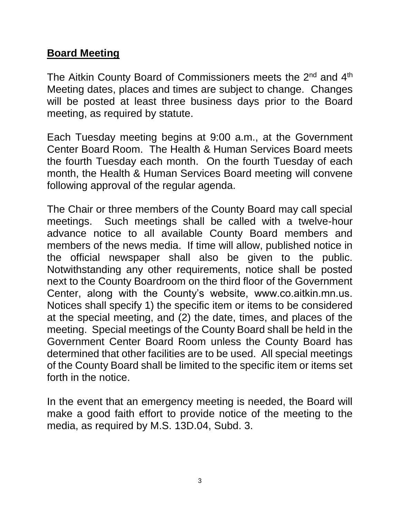## **Board Meeting**

The Aitkin County Board of Commissioners meets the 2<sup>nd</sup> and 4<sup>th</sup> Meeting dates, places and times are subject to change. Changes will be posted at least three business days prior to the Board meeting, as required by statute.

Each Tuesday meeting begins at 9:00 a.m., at the Government Center Board Room. The Health & Human Services Board meets the fourth Tuesday each month. On the fourth Tuesday of each month, the Health & Human Services Board meeting will convene following approval of the regular agenda.

The Chair or three members of the County Board may call special meetings. Such meetings shall be called with a twelve-hour advance notice to all available County Board members and members of the news media. If time will allow, published notice in the official newspaper shall also be given to the public. Notwithstanding any other requirements, notice shall be posted next to the County Boardroom on the third floor of the Government Center, along with the County's website, www.co.aitkin.mn.us. Notices shall specify 1) the specific item or items to be considered at the special meeting, and (2) the date, times, and places of the meeting. Special meetings of the County Board shall be held in the Government Center Board Room unless the County Board has determined that other facilities are to be used. All special meetings of the County Board shall be limited to the specific item or items set forth in the notice.

In the event that an emergency meeting is needed, the Board will make a good faith effort to provide notice of the meeting to the media, as required by M.S. 13D.04, Subd. 3.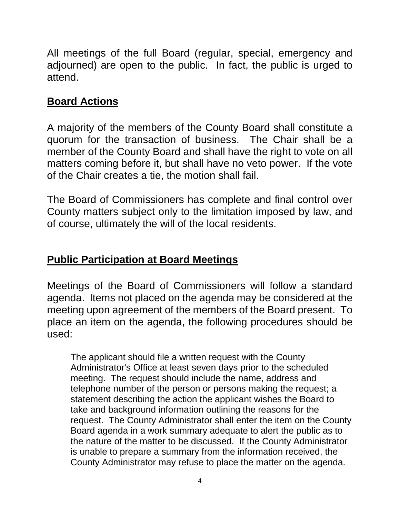All meetings of the full Board (regular, special, emergency and adjourned) are open to the public. In fact, the public is urged to attend.

## **Board Actions**

A majority of the members of the County Board shall constitute a quorum for the transaction of business. The Chair shall be a member of the County Board and shall have the right to vote on all matters coming before it, but shall have no veto power. If the vote of the Chair creates a tie, the motion shall fail.

The Board of Commissioners has complete and final control over County matters subject only to the limitation imposed by law, and of course, ultimately the will of the local residents.

#### **Public Participation at Board Meetings**

Meetings of the Board of Commissioners will follow a standard agenda. Items not placed on the agenda may be considered at the meeting upon agreement of the members of the Board present. To place an item on the agenda, the following procedures should be used:

The applicant should file a written request with the County Administrator's Office at least seven days prior to the scheduled meeting. The request should include the name, address and telephone number of the person or persons making the request; a statement describing the action the applicant wishes the Board to take and background information outlining the reasons for the request. The County Administrator shall enter the item on the County Board agenda in a work summary adequate to alert the public as to the nature of the matter to be discussed. If the County Administrator is unable to prepare a summary from the information received, the County Administrator may refuse to place the matter on the agenda.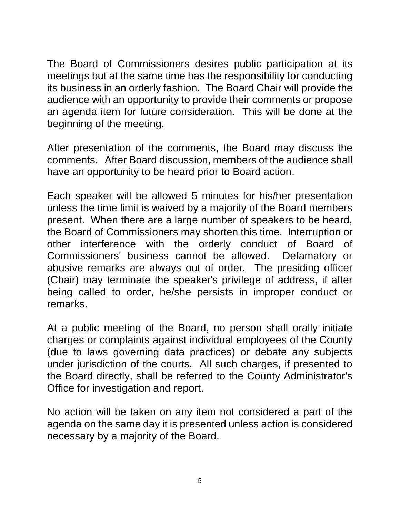The Board of Commissioners desires public participation at its meetings but at the same time has the responsibility for conducting its business in an orderly fashion. The Board Chair will provide the audience with an opportunity to provide their comments or propose an agenda item for future consideration. This will be done at the beginning of the meeting.

After presentation of the comments, the Board may discuss the comments. After Board discussion, members of the audience shall have an opportunity to be heard prior to Board action.

Each speaker will be allowed 5 minutes for his/her presentation unless the time limit is waived by a majority of the Board members present. When there are a large number of speakers to be heard, the Board of Commissioners may shorten this time. Interruption or other interference with the orderly conduct of Board of Commissioners' business cannot be allowed. Defamatory or abusive remarks are always out of order. The presiding officer (Chair) may terminate the speaker's privilege of address, if after being called to order, he/she persists in improper conduct or remarks.

At a public meeting of the Board, no person shall orally initiate charges or complaints against individual employees of the County (due to laws governing data practices) or debate any subjects under jurisdiction of the courts. All such charges, if presented to the Board directly, shall be referred to the County Administrator's Office for investigation and report.

No action will be taken on any item not considered a part of the agenda on the same day it is presented unless action is considered necessary by a majority of the Board.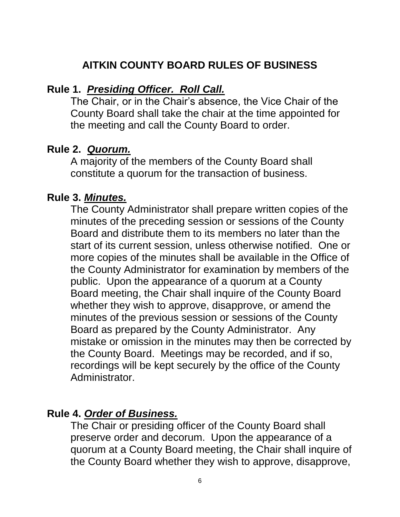# **AITKIN COUNTY BOARD RULES OF BUSINESS**

### **Rule 1.** *Presiding Officer. Roll Call.*

The Chair, or in the Chair's absence, the Vice Chair of the County Board shall take the chair at the time appointed for the meeting and call the County Board to order.

# **Rule 2.** *Quorum.*

A majority of the members of the County Board shall constitute a quorum for the transaction of business.

# **Rule 3.** *Minutes.*

The County Administrator shall prepare written copies of the minutes of the preceding session or sessions of the County Board and distribute them to its members no later than the start of its current session, unless otherwise notified. One or more copies of the minutes shall be available in the Office of the County Administrator for examination by members of the public. Upon the appearance of a quorum at a County Board meeting, the Chair shall inquire of the County Board whether they wish to approve, disapprove, or amend the minutes of the previous session or sessions of the County Board as prepared by the County Administrator. Any mistake or omission in the minutes may then be corrected by the County Board. Meetings may be recorded, and if so, recordings will be kept securely by the office of the County Administrator.

# **Rule 4.** *Order of Business.*

The Chair or presiding officer of the County Board shall preserve order and decorum. Upon the appearance of a quorum at a County Board meeting, the Chair shall inquire of the County Board whether they wish to approve, disapprove,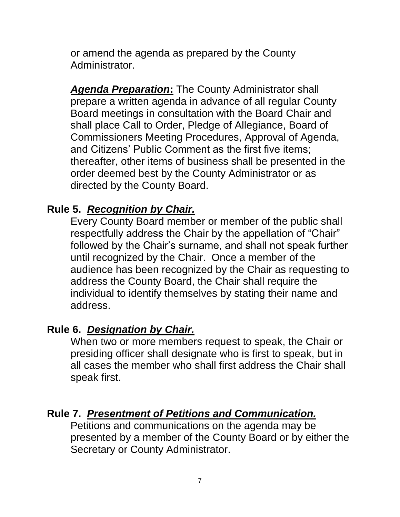or amend the agenda as prepared by the County Administrator.

*Agenda Preparation***:** The County Administrator shall prepare a written agenda in advance of all regular County Board meetings in consultation with the Board Chair and shall place Call to Order, Pledge of Allegiance, Board of Commissioners Meeting Procedures, Approval of Agenda, and Citizens' Public Comment as the first five items; thereafter, other items of business shall be presented in the order deemed best by the County Administrator or as directed by the County Board.

## **Rule 5.** *Recognition by Chair.*

Every County Board member or member of the public shall respectfully address the Chair by the appellation of "Chair" followed by the Chair's surname, and shall not speak further until recognized by the Chair. Once a member of the audience has been recognized by the Chair as requesting to address the County Board, the Chair shall require the individual to identify themselves by stating their name and address.

## **Rule 6.** *Designation by Chair.*

When two or more members request to speak, the Chair or presiding officer shall designate who is first to speak, but in all cases the member who shall first address the Chair shall speak first.

## **Rule 7.** *Presentment of Petitions and Communication.*

Petitions and communications on the agenda may be presented by a member of the County Board or by either the Secretary or County Administrator.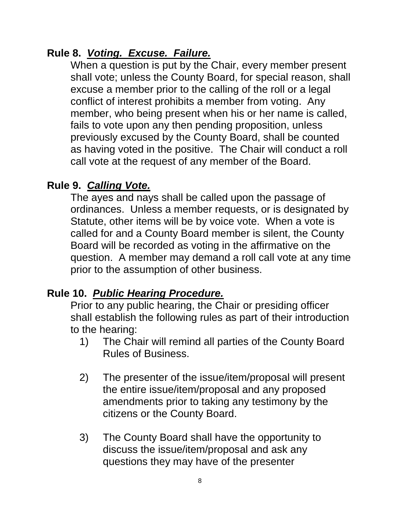# **Rule 8.** *Voting. Excuse. Failure.*

When a question is put by the Chair, every member present shall vote; unless the County Board, for special reason, shall excuse a member prior to the calling of the roll or a legal conflict of interest prohibits a member from voting. Any member, who being present when his or her name is called, fails to vote upon any then pending proposition, unless previously excused by the County Board, shall be counted as having voted in the positive. The Chair will conduct a roll call vote at the request of any member of the Board.

# **Rule 9.** *Calling Vote.*

The ayes and nays shall be called upon the passage of ordinances. Unless a member requests, or is designated by Statute, other items will be by voice vote. When a vote is called for and a County Board member is silent, the County Board will be recorded as voting in the affirmative on the question. A member may demand a roll call vote at any time prior to the assumption of other business.

# **Rule 10.** *Public Hearing Procedure.*

Prior to any public hearing, the Chair or presiding officer shall establish the following rules as part of their introduction to the hearing:

- 1) The Chair will remind all parties of the County Board Rules of Business.
- 2) The presenter of the issue/item/proposal will present the entire issue/item/proposal and any proposed amendments prior to taking any testimony by the citizens or the County Board.
- 3) The County Board shall have the opportunity to discuss the issue/item/proposal and ask any questions they may have of the presenter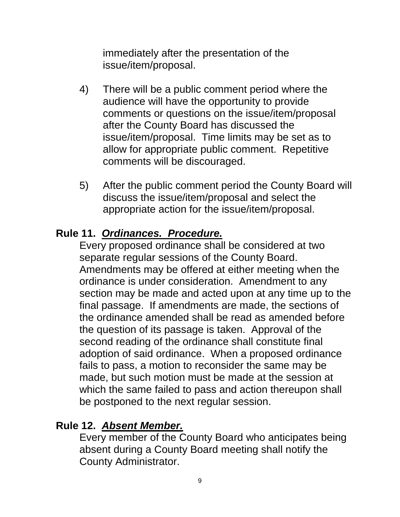immediately after the presentation of the issue/item/proposal.

- 4) There will be a public comment period where the audience will have the opportunity to provide comments or questions on the issue/item/proposal after the County Board has discussed the issue/item/proposal. Time limits may be set as to allow for appropriate public comment. Repetitive comments will be discouraged.
- 5) After the public comment period the County Board will discuss the issue/item/proposal and select the appropriate action for the issue/item/proposal.

## **Rule 11.** *Ordinances. Procedure.*

Every proposed ordinance shall be considered at two separate regular sessions of the County Board. Amendments may be offered at either meeting when the ordinance is under consideration. Amendment to any section may be made and acted upon at any time up to the final passage. If amendments are made, the sections of the ordinance amended shall be read as amended before the question of its passage is taken. Approval of the second reading of the ordinance shall constitute final adoption of said ordinance. When a proposed ordinance fails to pass, a motion to reconsider the same may be made, but such motion must be made at the session at which the same failed to pass and action thereupon shall be postponed to the next regular session.

# **Rule 12.** *Absent Member.*

Every member of the County Board who anticipates being absent during a County Board meeting shall notify the County Administrator.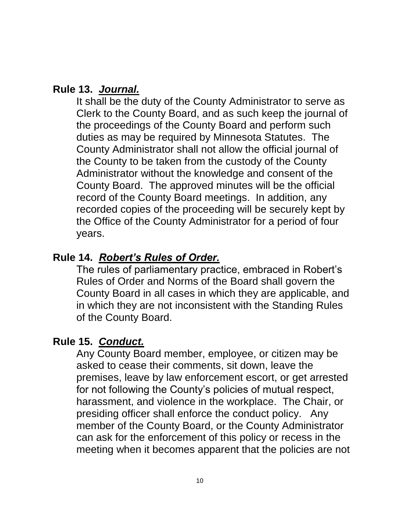#### **Rule 13.** *Journal.*

It shall be the duty of the County Administrator to serve as Clerk to the County Board, and as such keep the journal of the proceedings of the County Board and perform such duties as may be required by Minnesota Statutes. The County Administrator shall not allow the official journal of the County to be taken from the custody of the County Administrator without the knowledge and consent of the County Board. The approved minutes will be the official record of the County Board meetings. In addition, any recorded copies of the proceeding will be securely kept by the Office of the County Administrator for a period of four years.

## **Rule 14.** *Robert's Rules of Order.*

The rules of parliamentary practice, embraced in Robert's Rules of Order and Norms of the Board shall govern the County Board in all cases in which they are applicable, and in which they are not inconsistent with the Standing Rules of the County Board.

# **Rule 15.** *Conduct.*

Any County Board member, employee, or citizen may be asked to cease their comments, sit down, leave the premises, leave by law enforcement escort, or get arrested for not following the County's policies of mutual respect, harassment, and violence in the workplace. The Chair, or presiding officer shall enforce the conduct policy. Any member of the County Board, or the County Administrator can ask for the enforcement of this policy or recess in the meeting when it becomes apparent that the policies are not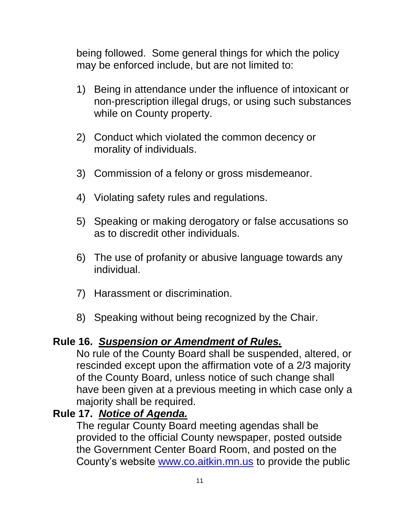being followed. Some general things for which the policy may be enforced include, but are not limited to:

- 1) Being in attendance under the influence of intoxicant or non-prescription illegal drugs, or using such substances while on County property.
- 2) Conduct which violated the common decency or morality of individuals.
- 3) Commission of a felony or gross misdemeanor.
- 4) Violating safety rules and regulations.
- 5) Speaking or making derogatory or false accusations so as to discredit other individuals.
- 6) The use of profanity or abusive language towards any individual.
- 7) Harassment or discrimination.
- 8) Speaking without being recognized by the Chair.

#### **Rule 16.** *Suspension or Amendment of Rules.*

No rule of the County Board shall be suspended, altered, or rescinded except upon the affirmation vote of a 2/3 majority of the County Board, unless notice of such change shall have been given at a previous meeting in which case only a majority shall be required.

## **Rule 17.** *Notice of Agenda.*

The regular County Board meeting agendas shall be provided to the official County newspaper, posted outside the Government Center Board Room, and posted on the County's website [www.co.aitkin.mn.us](http://www.co.aitkin.mn.us/) to provide the public